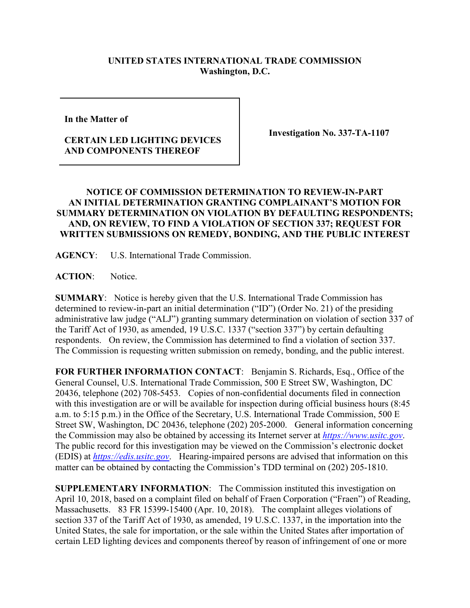## **UNITED STATES INTERNATIONAL TRADE COMMISSION Washington, D.C.**

**In the Matter of** 

## **CERTAIN LED LIGHTING DEVICES AND COMPONENTS THEREOF**

**Investigation No. 337-TA-1107**

## **NOTICE OF COMMISSION DETERMINATION TO REVIEW-IN-PART AN INITIAL DETERMINATION GRANTING COMPLAINANT'S MOTION FOR SUMMARY DETERMINATION ON VIOLATION BY DEFAULTING RESPONDENTS; AND, ON REVIEW, TO FIND A VIOLATION OF SECTION 337; REQUEST FOR WRITTEN SUBMISSIONS ON REMEDY, BONDING, AND THE PUBLIC INTEREST**

**AGENCY**: U.S. International Trade Commission.

ACTION: Notice.

**SUMMARY**: Notice is hereby given that the U.S. International Trade Commission has determined to review-in-part an initial determination ("ID") (Order No. 21) of the presiding administrative law judge ("ALJ") granting summary determination on violation of section 337 of the Tariff Act of 1930, as amended, 19 U.S.C. 1337 ("section 337") by certain defaulting respondents. On review, the Commission has determined to find a violation of section 337. The Commission is requesting written submission on remedy, bonding, and the public interest.

**FOR FURTHER INFORMATION CONTACT**: Benjamin S. Richards, Esq., Office of the General Counsel, U.S. International Trade Commission, 500 E Street SW, Washington, DC 20436, telephone (202) 708-5453. Copies of non-confidential documents filed in connection with this investigation are or will be available for inspection during official business hours (8:45 a.m. to 5:15 p.m.) in the Office of the Secretary, U.S. International Trade Commission, 500 E Street SW, Washington, DC 20436, telephone (202) 205-2000. General information concerning the Commission may also be obtained by accessing its Internet server at *[https://www.usitc.gov](https://www.usitc.gov/)*. The public record for this investigation may be viewed on the Commission's electronic docket (EDIS) at *[https://edis.usitc.gov](https://edis.usitc.gov/)*. Hearing-impaired persons are advised that information on this matter can be obtained by contacting the Commission's TDD terminal on (202) 205-1810.

**SUPPLEMENTARY INFORMATION**: The Commission instituted this investigation on April 10, 2018, based on a complaint filed on behalf of Fraen Corporation ("Fraen") of Reading, Massachusetts. 83 FR 15399-15400 (Apr. 10, 2018). The complaint alleges violations of section 337 of the Tariff Act of 1930, as amended, 19 U.S.C. 1337, in the importation into the United States, the sale for importation, or the sale within the United States after importation of certain LED lighting devices and components thereof by reason of infringement of one or more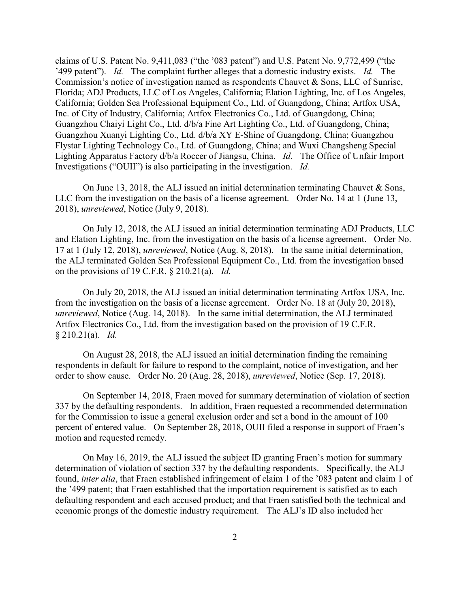claims of U.S. Patent No. 9,411,083 ("the '083 patent") and U.S. Patent No. 9,772,499 ("the '499 patent"). *Id.* The complaint further alleges that a domestic industry exists. *Id.* The Commission's notice of investigation named as respondents Chauvet & Sons, LLC of Sunrise, Florida; ADJ Products, LLC of Los Angeles, California; Elation Lighting, Inc. of Los Angeles, California; Golden Sea Professional Equipment Co., Ltd. of Guangdong, China; Artfox USA, Inc. of City of Industry, California; Artfox Electronics Co., Ltd. of Guangdong, China; Guangzhou Chaiyi Light Co., Ltd. d/b/a Fine Art Lighting Co., Ltd. of Guangdong, China; Guangzhou Xuanyi Lighting Co., Ltd. d/b/a XY E-Shine of Guangdong, China; Guangzhou Flystar Lighting Technology Co., Ltd. of Guangdong, China; and Wuxi Changsheng Special Lighting Apparatus Factory d/b/a Roccer of Jiangsu, China. *Id.* The Office of Unfair Import Investigations ("OUII") is also participating in the investigation. *Id.*

On June 13, 2018, the ALJ issued an initial determination terminating Chauvet & Sons, LLC from the investigation on the basis of a license agreement. Order No. 14 at 1 (June 13, 2018), *unreviewed*, Notice (July 9, 2018).

On July 12, 2018, the ALJ issued an initial determination terminating ADJ Products, LLC and Elation Lighting, Inc. from the investigation on the basis of a license agreement. Order No. 17 at 1 (July 12, 2018), *unreviewed*, Notice (Aug. 8, 2018). In the same initial determination, the ALJ terminated Golden Sea Professional Equipment Co., Ltd. from the investigation based on the provisions of 19 C.F.R. § 210.21(a). *Id.*

On July 20, 2018, the ALJ issued an initial determination terminating Artfox USA, Inc. from the investigation on the basis of a license agreement. Order No. 18 at (July 20, 2018), *unreviewed*, Notice (Aug. 14, 2018). In the same initial determination, the ALJ terminated Artfox Electronics Co., Ltd. from the investigation based on the provision of 19 C.F.R. § 210.21(a). *Id.*

On August 28, 2018, the ALJ issued an initial determination finding the remaining respondents in default for failure to respond to the complaint, notice of investigation, and her order to show cause. Order No. 20 (Aug. 28, 2018), *unreviewed*, Notice (Sep. 17, 2018).

On September 14, 2018, Fraen moved for summary determination of violation of section 337 by the defaulting respondents. In addition, Fraen requested a recommended determination for the Commission to issue a general exclusion order and set a bond in the amount of 100 percent of entered value. On September 28, 2018, OUII filed a response in support of Fraen's motion and requested remedy.

On May 16, 2019, the ALJ issued the subject ID granting Fraen's motion for summary determination of violation of section 337 by the defaulting respondents. Specifically, the ALJ found, *inter alia*, that Fraen established infringement of claim 1 of the '083 patent and claim 1 of the '499 patent; that Fraen established that the importation requirement is satisfied as to each defaulting respondent and each accused product; and that Fraen satisfied both the technical and economic prongs of the domestic industry requirement. The ALJ's ID also included her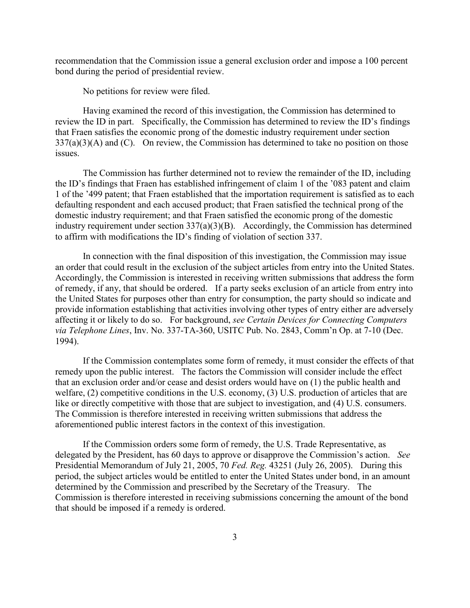recommendation that the Commission issue a general exclusion order and impose a 100 percent bond during the period of presidential review.

No petitions for review were filed.

Having examined the record of this investigation, the Commission has determined to review the ID in part. Specifically, the Commission has determined to review the ID's findings that Fraen satisfies the economic prong of the domestic industry requirement under section  $337(a)(3)(A)$  and (C). On review, the Commission has determined to take no position on those issues.

The Commission has further determined not to review the remainder of the ID, including the ID's findings that Fraen has established infringement of claim 1 of the '083 patent and claim 1 of the '499 patent; that Fraen established that the importation requirement is satisfied as to each defaulting respondent and each accused product; that Fraen satisfied the technical prong of the domestic industry requirement; and that Fraen satisfied the economic prong of the domestic industry requirement under section 337(a)(3)(B). Accordingly, the Commission has determined to affirm with modifications the ID's finding of violation of section 337.

In connection with the final disposition of this investigation, the Commission may issue an order that could result in the exclusion of the subject articles from entry into the United States. Accordingly, the Commission is interested in receiving written submissions that address the form of remedy, if any, that should be ordered. If a party seeks exclusion of an article from entry into the United States for purposes other than entry for consumption, the party should so indicate and provide information establishing that activities involving other types of entry either are adversely affecting it or likely to do so. For background, *see Certain Devices for Connecting Computers via Telephone Lines*, Inv. No. 337-TA-360, USITC Pub. No. 2843, Comm'n Op. at 7-10 (Dec. 1994).

If the Commission contemplates some form of remedy, it must consider the effects of that remedy upon the public interest. The factors the Commission will consider include the effect that an exclusion order and/or cease and desist orders would have on (1) the public health and welfare, (2) competitive conditions in the U.S. economy, (3) U.S. production of articles that are like or directly competitive with those that are subject to investigation, and (4) U.S. consumers. The Commission is therefore interested in receiving written submissions that address the aforementioned public interest factors in the context of this investigation.

If the Commission orders some form of remedy, the U.S. Trade Representative, as delegated by the President, has 60 days to approve or disapprove the Commission's action. *See*  Presidential Memorandum of July 21, 2005, 70 *Fed. Reg.* 43251 (July 26, 2005). During this period, the subject articles would be entitled to enter the United States under bond, in an amount determined by the Commission and prescribed by the Secretary of the Treasury. The Commission is therefore interested in receiving submissions concerning the amount of the bond that should be imposed if a remedy is ordered.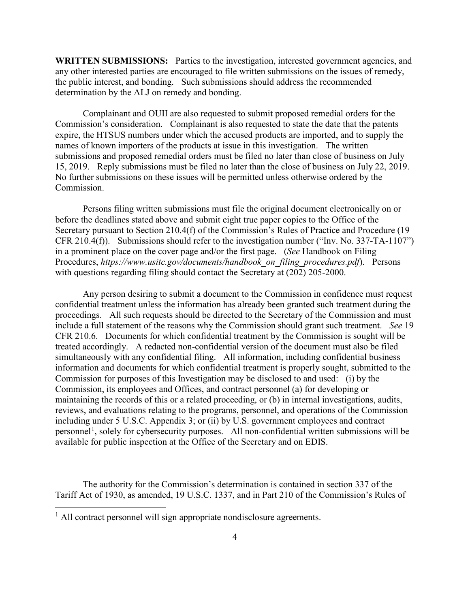**WRITTEN SUBMISSIONS:** Parties to the investigation, interested government agencies, and any other interested parties are encouraged to file written submissions on the issues of remedy, the public interest, and bonding. Such submissions should address the recommended determination by the ALJ on remedy and bonding.

Complainant and OUII are also requested to submit proposed remedial orders for the Commission's consideration. Complainant is also requested to state the date that the patents expire, the HTSUS numbers under which the accused products are imported, and to supply the names of known importers of the products at issue in this investigation. The written submissions and proposed remedial orders must be filed no later than close of business on July 15, 2019. Reply submissions must be filed no later than the close of business on July 22, 2019. No further submissions on these issues will be permitted unless otherwise ordered by the Commission.

Persons filing written submissions must file the original document electronically on or before the deadlines stated above and submit eight true paper copies to the Office of the Secretary pursuant to Section 210.4(f) of the Commission's Rules of Practice and Procedure (19 CFR 210.4(f)). Submissions should refer to the investigation number ("Inv. No. 337-TA-1107") in a prominent place on the cover page and/or the first page. (*See* Handbook on Filing Procedures, *https://www.usitc.gov/documents/handbook\_on\_filing\_procedures.pdf*). Persons with questions regarding filing should contact the Secretary at (202) 205-2000.

Any person desiring to submit a document to the Commission in confidence must request confidential treatment unless the information has already been granted such treatment during the proceedings. All such requests should be directed to the Secretary of the Commission and must include a full statement of the reasons why the Commission should grant such treatment. *See* 19 CFR 210.6. Documents for which confidential treatment by the Commission is sought will be treated accordingly. A redacted non-confidential version of the document must also be filed simultaneously with any confidential filing. All information, including confidential business information and documents for which confidential treatment is properly sought, submitted to the Commission for purposes of this Investigation may be disclosed to and used: (i) by the Commission, its employees and Offices, and contract personnel (a) for developing or maintaining the records of this or a related proceeding, or (b) in internal investigations, audits, reviews, and evaluations relating to the programs, personnel, and operations of the Commission including under 5 U.S.C. Appendix 3; or (ii) by U.S. government employees and contract personnel<sup>[1](#page-3-0)</sup>, solely for cybersecurity purposes. All non-confidential written submissions will be available for public inspection at the Office of the Secretary and on EDIS.

The authority for the Commission's determination is contained in section 337 of the Tariff Act of 1930, as amended, 19 U.S.C. 1337, and in Part 210 of the Commission's Rules of

<span id="page-3-0"></span><sup>&</sup>lt;sup>1</sup> All contract personnel will sign appropriate nondisclosure agreements.